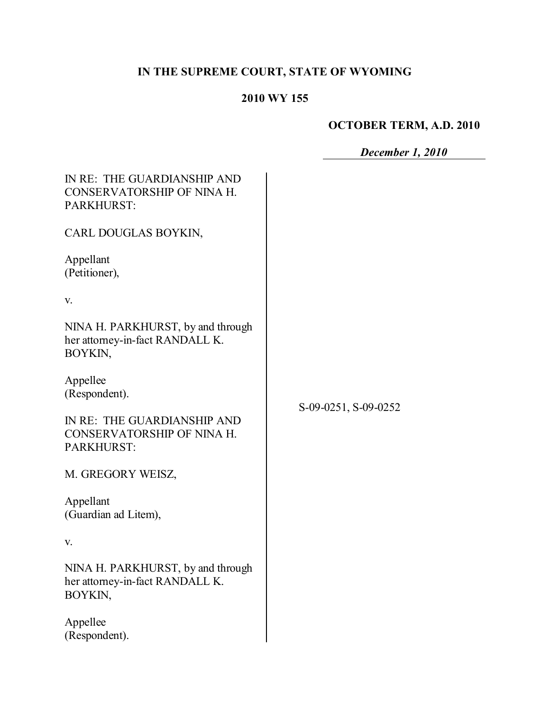# **IN THE SUPREME COURT, STATE OF WYOMING**

# **2010 WY 155**

# **OCTOBER TERM, A.D. 2010**

*December 1, 2010* 

| IN RE: THE GUARDIANSHIP AND<br>CONSERVATORSHIP OF NINA H.<br>PARKHURST:         |                      |
|---------------------------------------------------------------------------------|----------------------|
| CARL DOUGLAS BOYKIN,                                                            |                      |
| Appellant<br>(Petitioner),                                                      |                      |
| V.                                                                              |                      |
| NINA H. PARKHURST, by and through<br>her attorney-in-fact RANDALL K.<br>BOYKIN, |                      |
| Appellee<br>(Respondent).                                                       | S-09-0251, S-09-0252 |
| IN RE: THE GUARDIANSHIP AND<br>CONSERVATORSHIP OF NINA H.<br>PARKHURST:         |                      |
| M. GREGORY WEISZ,                                                               |                      |
| Appellant<br>(Guardian ad Litem),                                               |                      |
| V.                                                                              |                      |
| NINA H. PARKHURST, by and through<br>her attorney-in-fact RANDALL K.<br>BOYKIN, |                      |
| Appellee<br>(Respondent).                                                       |                      |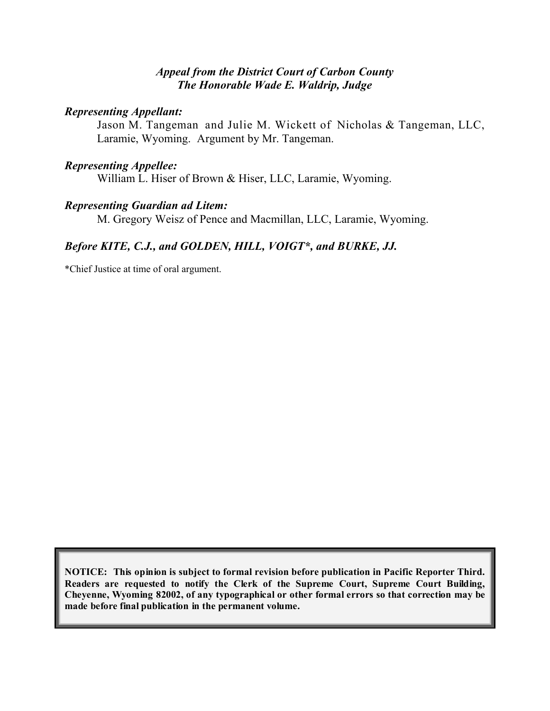#### *Appeal from the District Court of Carbon County The Honorable Wade E. Waldrip, Judge*

#### *Representing Appellant:*

Jason M. Tangeman and Julie M. Wickett of Nicholas & Tangeman, LLC, Laramie, Wyoming. Argument by Mr. Tangeman.

#### *Representing Appellee:*

William L. Hiser of Brown & Hiser, LLC, Laramie, Wyoming.

#### *Representing Guardian ad Litem:*

M. Gregory Weisz of Pence and Macmillan, LLC, Laramie, Wyoming.

# *Before KITE, C.J., and GOLDEN, HILL, VOIGT\*, and BURKE, JJ.*

\*Chief Justice at time of oral argument.

**NOTICE: This opinion is subject to formal revision before publication in Pacific Reporter Third. Readers are requested to notify the Clerk of the Supreme Court, Supreme Court Building, Cheyenne, Wyoming 82002, of any typographical or other formal errors so that correction may be made before final publication in the permanent volume.**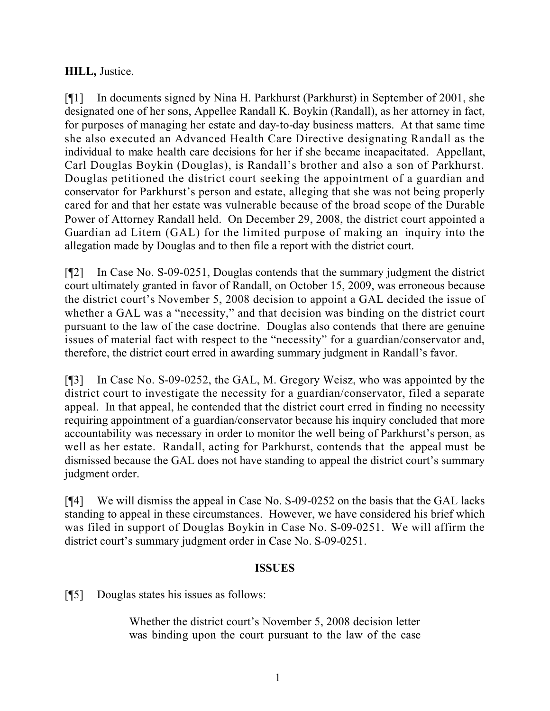### **HILL,** Justice.

[¶1] In documents signed by Nina H. Parkhurst (Parkhurst) in September of 2001, she designated one of her sons, Appellee Randall K. Boykin (Randall), as her attorney in fact, for purposes of managing her estate and day-to-day business matters. At that same time she also executed an Advanced Health Care Directive designating Randall as the individual to make health care decisions for her if she became incapacitated. Appellant, Carl Douglas Boykin (Douglas), is Randall's brother and also a son of Parkhurst. Douglas petitioned the district court seeking the appointment of a guardian and conservator for Parkhurst's person and estate, alleging that she was not being properly cared for and that her estate was vulnerable because of the broad scope of the Durable Power of Attorney Randall held. On December 29, 2008, the district court appointed a Guardian ad Litem (GAL) for the limited purpose of making an inquiry into the allegation made by Douglas and to then file a report with the district court.

[¶2] In Case No. S-09-0251, Douglas contends that the summary judgment the district court ultimately granted in favor of Randall, on October 15, 2009, was erroneous because the district court's November 5, 2008 decision to appoint a GAL decided the issue of whether a GAL was a "necessity," and that decision was binding on the district court pursuant to the law of the case doctrine. Douglas also contends that there are genuine issues of material fact with respect to the "necessity" for a guardian/conservator and, therefore, the district court erred in awarding summary judgment in Randall's favor.

[¶3] In Case No. S-09-0252, the GAL, M. Gregory Weisz, who was appointed by the district court to investigate the necessity for a guardian/conservator, filed a separate appeal. In that appeal, he contended that the district court erred in finding no necessity requiring appointment of a guardian/conservator because his inquiry concluded that more accountability was necessary in order to monitor the well being of Parkhurst's person, as well as her estate. Randall, acting for Parkhurst, contends that the appeal must be dismissed because the GAL does not have standing to appeal the district court's summary judgment order.

[¶4] We will dismiss the appeal in Case No. S-09-0252 on the basis that the GAL lacks standing to appeal in these circumstances. However, we have considered his brief which was filed in support of Douglas Boykin in Case No. S-09-0251. We will affirm the district court's summary judgment order in Case No. S-09-0251.

### **ISSUES**

[¶5] Douglas states his issues as follows:

Whether the district court's November 5, 2008 decision letter was binding upon the court pursuant to the law of the case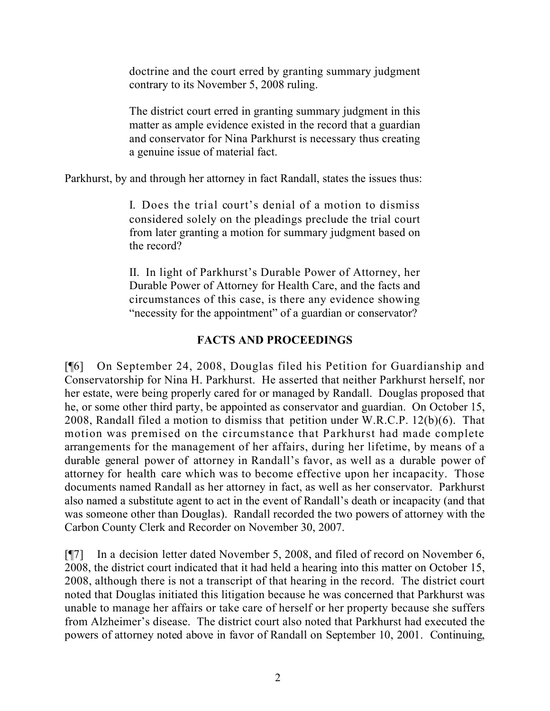doctrine and the court erred by granting summary judgment contrary to its November 5, 2008 ruling.

The district court erred in granting summary judgment in this matter as ample evidence existed in the record that a guardian and conservator for Nina Parkhurst is necessary thus creating a genuine issue of material fact.

Parkhurst, by and through her attorney in fact Randall, states the issues thus:

I. Does the trial court's denial of a motion to dismiss considered solely on the pleadings preclude the trial court from later granting a motion for summary judgment based on the record?

II. In light of Parkhurst's Durable Power of Attorney, her Durable Power of Attorney for Health Care, and the facts and circumstances of this case, is there any evidence showing "necessity for the appointment" of a guardian or conservator?

# **FACTS AND PROCEEDINGS**

[¶6] On September 24, 2008, Douglas filed his Petition for Guardianship and Conservatorship for Nina H. Parkhurst. He asserted that neither Parkhurst herself, nor her estate, were being properly cared for or managed by Randall. Douglas proposed that he, or some other third party, be appointed as conservator and guardian. On October 15, 2008, Randall filed a motion to dismiss that petition under W.R.C.P. 12(b)(6). That motion was premised on the circumstance that Parkhurst had made complete arrangements for the management of her affairs, during her lifetime, by means of a durable general power of attorney in Randall's favor, as well as a durable power of attorney for health care which was to become effective upon her incapacity. Those documents named Randall as her attorney in fact, as well as her conservator. Parkhurst also named a substitute agent to act in the event of Randall's death or incapacity (and that was someone other than Douglas). Randall recorded the two powers of attorney with the Carbon County Clerk and Recorder on November 30, 2007.

[¶7] In a decision letter dated November 5, 2008, and filed of record on November 6, 2008, the district court indicated that it had held a hearing into this matter on October 15, 2008, although there is not a transcript of that hearing in the record. The district court noted that Douglas initiated this litigation because he was concerned that Parkhurst was unable to manage her affairs or take care of herself or her property because she suffers from Alzheimer's disease. The district court also noted that Parkhurst had executed the powers of attorney noted above in favor of Randall on September 10, 2001. Continuing,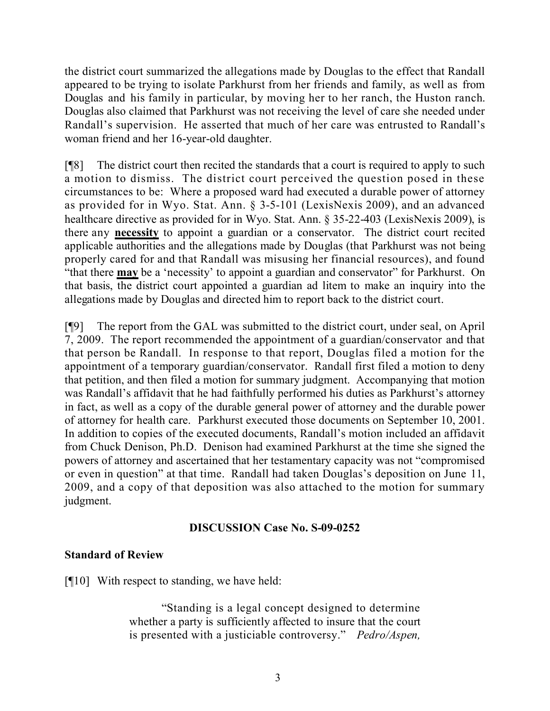the district court summarized the allegations made by Douglas to the effect that Randall appeared to be trying to isolate Parkhurst from her friends and family, as well as from Douglas and his family in particular, by moving her to her ranch, the Huston ranch. Douglas also claimed that Parkhurst was not receiving the level of care she needed under Randall's supervision. He asserted that much of her care was entrusted to Randall's woman friend and her 16-year-old daughter.

[¶8] The district court then recited the standards that a court is required to apply to such a motion to dismiss. The district court perceived the question posed in these circumstances to be: Where a proposed ward had executed a durable power of attorney as provided for in Wyo. Stat. Ann. § 3-5-101 (LexisNexis 2009), and an advanced healthcare directive as provided for in Wyo. Stat. Ann. § 35-22-403 (LexisNexis 2009), is there any **necessity** to appoint a guardian or a conservator. The district court recited applicable authorities and the allegations made by Douglas (that Parkhurst was not being properly cared for and that Randall was misusing her financial resources), and found "that there **may** be a 'necessity' to appoint a guardian and conservator" for Parkhurst. On that basis, the district court appointed a guardian ad litem to make an inquiry into the allegations made by Douglas and directed him to report back to the district court.

[¶9] The report from the GAL was submitted to the district court, under seal, on April 7, 2009. The report recommended the appointment of a guardian/conservator and that that person be Randall. In response to that report, Douglas filed a motion for the appointment of a temporary guardian/conservator. Randall first filed a motion to deny that petition, and then filed a motion for summary judgment. Accompanying that motion was Randall's affidavit that he had faithfully performed his duties as Parkhurst's attorney in fact, as well as a copy of the durable general power of attorney and the durable power of attorney for health care. Parkhurst executed those documents on September 10, 2001. In addition to copies of the executed documents, Randall's motion included an affidavit from Chuck Denison, Ph.D. Denison had examined Parkhurst at the time she signed the powers of attorney and ascertained that her testamentary capacity was not "compromised or even in question" at that time. Randall had taken Douglas's deposition on June 11, 2009, and a copy of that deposition was also attached to the motion for summary judgment.

### **DISCUSSION Case No. S-09-0252**

# **Standard of Review**

[¶10] With respect to standing, we have held:

"Standing is a legal concept designed to determine whether a party is sufficiently affected to insure that the court is presented with a justiciable controversy." *Pedro/Aspen,*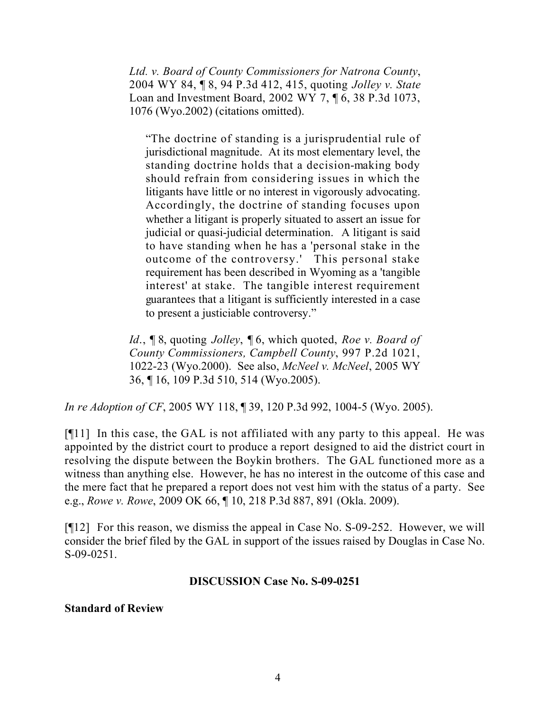*Ltd. v. Board of County Commissioners for Natrona County*, 2004 WY 84, ¶ 8, 94 P.3d 412, 415, quoting *Jolley v. State* Loan and Investment Board, 2002 WY 7, ¶ 6, 38 P.3d 1073, 1076 (Wyo.2002) (citations omitted).

"The doctrine of standing is a jurisprudential rule of jurisdictional magnitude. At its most elementary level, the standing doctrine holds that a decision-making body should refrain from considering issues in which the litigants have little or no interest in vigorously advocating. Accordingly, the doctrine of standing focuses upon whether a litigant is properly situated to assert an issue for judicial or quasi-judicial determination. A litigant is said to have standing when he has a 'personal stake in the outcome of the controversy.' This personal stake requirement has been described in Wyoming as a 'tangible interest' at stake. The tangible interest requirement guarantees that a litigant is sufficiently interested in a case to present a justiciable controversy."

*Id*., ¶ 8, quoting *Jolley*, ¶ 6, which quoted, *Roe v. Board of County Commissioners, Campbell County*, 997 P.2d 1021, 1022-23 (Wyo.2000). See also, *McNeel v. McNeel*, 2005 WY 36, ¶ 16, 109 P.3d 510, 514 (Wyo.2005).

*In re Adoption of CF*, 2005 WY 118, ¶ 39, 120 P.3d 992, 1004-5 (Wyo. 2005).

[¶11] In this case, the GAL is not affiliated with any party to this appeal. He was appointed by the district court to produce a report designed to aid the district court in resolving the dispute between the Boykin brothers. The GAL functioned more as a witness than anything else. However, he has no interest in the outcome of this case and the mere fact that he prepared a report does not vest him with the status of a party. See e.g., *Rowe v. Rowe*, 2009 OK 66, ¶ 10, 218 P.3d 887, 891 (Okla. 2009).

[¶12] For this reason, we dismiss the appeal in Case No. S-09-252. However, we will consider the brief filed by the GAL in support of the issues raised by Douglas in Case No. S-09-0251.

#### **DISCUSSION Case No. S-09-0251**

#### **Standard of Review**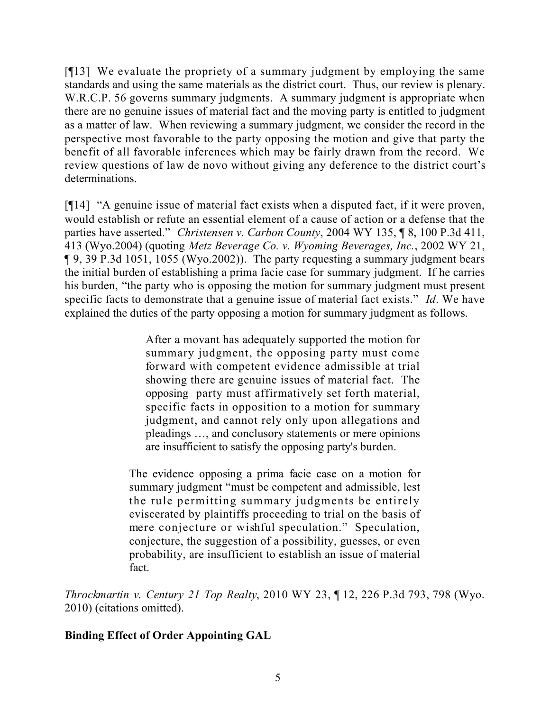[¶13] We evaluate the propriety of a summary judgment by employing the same standards and using the same materials as the district court. Thus, our review is plenary. W.R.C.P. 56 governs summary judgments. A summary judgment is appropriate when there are no genuine issues of material fact and the moving party is entitled to judgment as a matter of law. When reviewing a summary judgment, we consider the record in the perspective most favorable to the party opposing the motion and give that party the benefit of all favorable inferences which may be fairly drawn from the record. We review questions of law de novo without giving any deference to the district court's determinations.

[¶14] "A genuine issue of material fact exists when a disputed fact, if it were proven, would establish or refute an essential element of a cause of action or a defense that the parties have asserted." *Christensen v. Carbon County*, 2004 WY 135, ¶ 8, 100 P.3d 411, 413 (Wyo.2004) (quoting *Metz Beverage Co. v. Wyoming Beverages, Inc.*, 2002 WY 21, ¶ 9, 39 P.3d 1051, 1055 (Wyo.2002)). The party requesting a summary judgment bears the initial burden of establishing a prima facie case for summary judgment. If he carries his burden, "the party who is opposing the motion for summary judgment must present specific facts to demonstrate that a genuine issue of material fact exists." *Id*. We have explained the duties of the party opposing a motion for summary judgment as follows.

> After a movant has adequately supported the motion for summary judgment, the opposing party must come forward with competent evidence admissible at trial showing there are genuine issues of material fact. The opposing party must affirmatively set forth material, specific facts in opposition to a motion for summary judgment, and cannot rely only upon allegations and pleadings …, and conclusory statements or mere opinions are insufficient to satisfy the opposing party's burden.

The evidence opposing a prima facie case on a motion for summary judgment "must be competent and admissible, lest the rule permitting summary judgments be entirely eviscerated by plaintiffs proceeding to trial on the basis of mere conjecture or wishful speculation." Speculation, conjecture, the suggestion of a possibility, guesses, or even probability, are insufficient to establish an issue of material fact.

*Throckmartin v. Century 21 Top Realty*, 2010 WY 23, ¶ 12, 226 P.3d 793, 798 (Wyo. 2010) (citations omitted).

# **Binding Effect of Order Appointing GAL**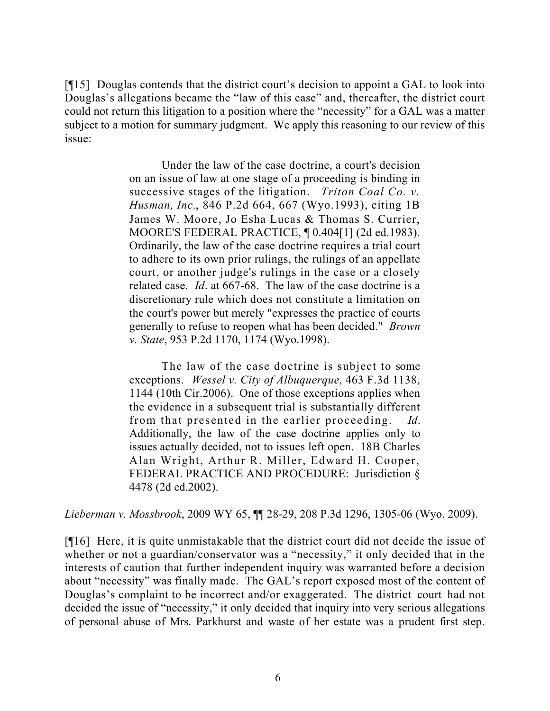[¶15] Douglas contends that the district court's decision to appoint a GAL to look into Douglas's allegations became the "law of this case" and, thereafter, the district court could not return this litigation to a position where the "necessity" for a GAL was a matter subject to a motion for summary judgment. We apply this reasoning to our review of this issue:

> Under the law of the case doctrine, a court's decision on an issue of law at one stage of a proceeding is binding in successive stages of the litigation. *Triton Coal Co. v. Husman, Inc.*, 846 P.2d 664, 667 (Wyo.1993), citing 1B James W. Moore, Jo Esha Lucas & Thomas S. Currier, MOORE'S FEDERAL PRACTICE, ¶ 0.404[1] (2d ed.1983). Ordinarily, the law of the case doctrine requires a trial court to adhere to its own prior rulings, the rulings of an appellate court, or another judge's rulings in the case or a closely related case. *Id*. at 667-68. The law of the case doctrine is a discretionary rule which does not constitute a limitation on the court's power but merely "expresses the practice of courts generally to refuse to reopen what has been decided." *Brown v. State*, 953 P.2d 1170, 1174 (Wyo.1998).

> The law of the case doctrine is subject to some exceptions. *Wessel v. City of Albuquerque*, 463 F.3d 1138, 1144 (10th Cir.2006). One of those exceptions applies when the evidence in a subsequent trial is substantially different from that presented in the earlier proceeding. *Id*. Additionally, the law of the case doctrine applies only to issues actually decided, not to issues left open. 18B Charles Alan Wright, Arthur R. Miller, Edward H. Cooper, FEDERAL PRACTICE AND PROCEDURE: Jurisdiction § 4478 (2d ed.2002).

*Lieberman v. Mossbrook*, 2009 WY 65, ¶¶ 28-29, 208 P.3d 1296, 1305-06 (Wyo. 2009).

[¶16] Here, it is quite unmistakable that the district court did not decide the issue of whether or not a guardian/conservator was a "necessity," it only decided that in the interests of caution that further independent inquiry was warranted before a decision about "necessity" was finally made. The GAL's report exposed most of the content of Douglas's complaint to be incorrect and/or exaggerated. The district court had not decided the issue of "necessity," it only decided that inquiry into very serious allegations of personal abuse of Mrs. Parkhurst and waste of her estate was a prudent first step.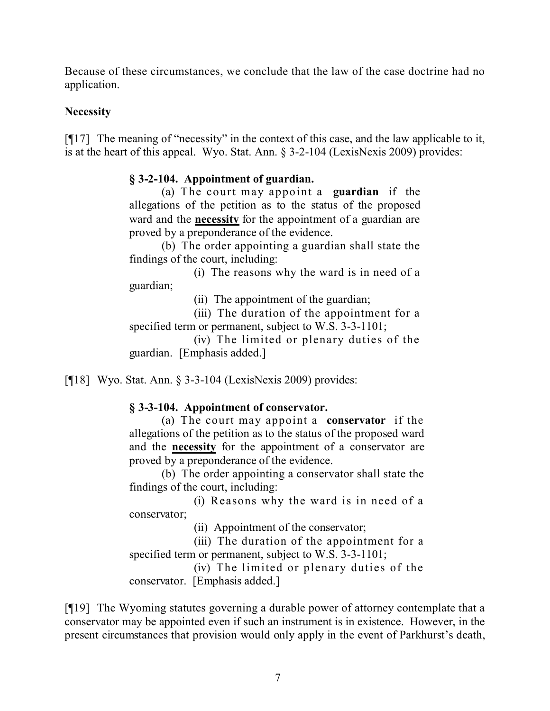Because of these circumstances, we conclude that the law of the case doctrine had no application.

### **Necessity**

[¶17] The meaning of "necessity" in the context of this case, and the law applicable to it, is at the heart of this appeal. Wyo. Stat. Ann. § 3-2-104 (LexisNexis 2009) provides:

### **§ 3-2-104. Appointment of guardian.**

(a) The court may appoint a **guardian** if the allegations of the petition as to the status of the proposed ward and the **necessity** for the appointment of a guardian are proved by a preponderance of the evidence.

(b) The order appointing a guardian shall state the findings of the court, including:

(i) The reasons why the ward is in need of a guardian;

(ii) The appointment of the guardian;

(iii) The duration of the appointment for a specified term or permanent, subject to W.S. 3-3-1101;

(iv) The limited or plenary duties of the guardian. [Emphasis added.]

[¶18] Wyo. Stat. Ann. § 3-3-104 (LexisNexis 2009) provides:

# **§ 3-3-104. Appointment of conservator.**

(a) The court may appoint a **conservator** if the allegations of the petition as to the status of the proposed ward and the **necessity** for the appointment of a conservator are proved by a preponderance of the evidence.

(b) The order appointing a conservator shall state the findings of the court, including:

(i) Reasons why the ward is in need of a conservator;

(ii) Appointment of the conservator;

(iii) The duration of the appointment for a specified term or permanent, subject to W.S. 3-3-1101;

(iv) The limited or plenary duties of the conservator. [Emphasis added.]

[¶19] The Wyoming statutes governing a durable power of attorney contemplate that a conservator may be appointed even if such an instrument is in existence. However, in the present circumstances that provision would only apply in the event of Parkhurst's death,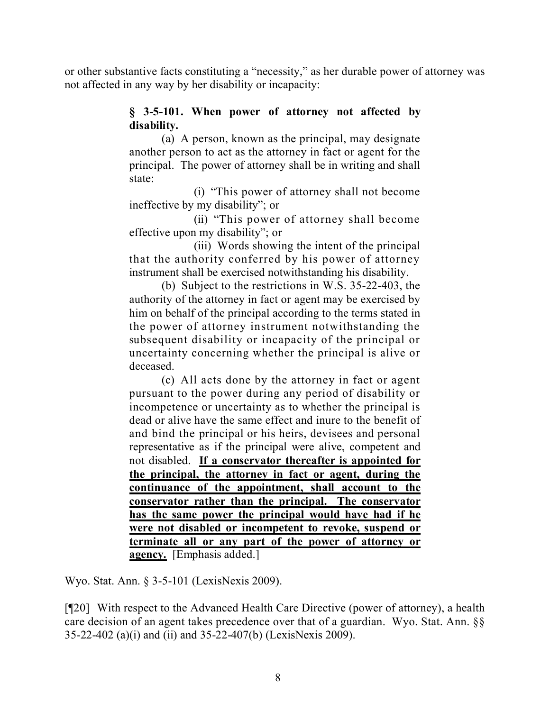or other substantive facts constituting a "necessity," as her durable power of attorney was not affected in any way by her disability or incapacity:

### **§ 3-5-101. When power of attorney not affected by disability.**

(a) A person, known as the principal, may designate another person to act as the attorney in fact or agent for the principal. The power of attorney shall be in writing and shall state:

(i) "This power of attorney shall not become ineffective by my disability"; or

(ii) "This power of attorney shall become effective upon my disability"; or

(iii) Words showing the intent of the principal that the authority conferred by his power of attorney instrument shall be exercised notwithstanding his disability.

(b) Subject to the restrictions in W.S. 35-22-403, the authority of the attorney in fact or agent may be exercised by him on behalf of the principal according to the terms stated in the power of attorney instrument notwithstanding the subsequent disability or incapacity of the principal or uncertainty concerning whether the principal is alive or deceased.

(c) All acts done by the attorney in fact or agent pursuant to the power during any period of disability or incompetence or uncertainty as to whether the principal is dead or alive have the same effect and inure to the benefit of and bind the principal or his heirs, devisees and personal representative as if the principal were alive, competent and not disabled. **If a conservator thereafter is appointed for the principal, the attorney in fact or agent, during the continuance of the appointment, shall account to the conservator rather than the principal. The conservator has the same power the principal would have had if he were not disabled or incompetent to revoke, suspend or terminate all or any part of the power of attorney or agency.** [Emphasis added.]

Wyo. Stat. Ann. § 3-5-101 (LexisNexis 2009).

[¶20] With respect to the Advanced Health Care Directive (power of attorney), a health care decision of an agent takes precedence over that of a guardian. Wyo. Stat. Ann. §§ 35-22-402 (a)(i) and (ii) and 35-22-407(b) (LexisNexis 2009).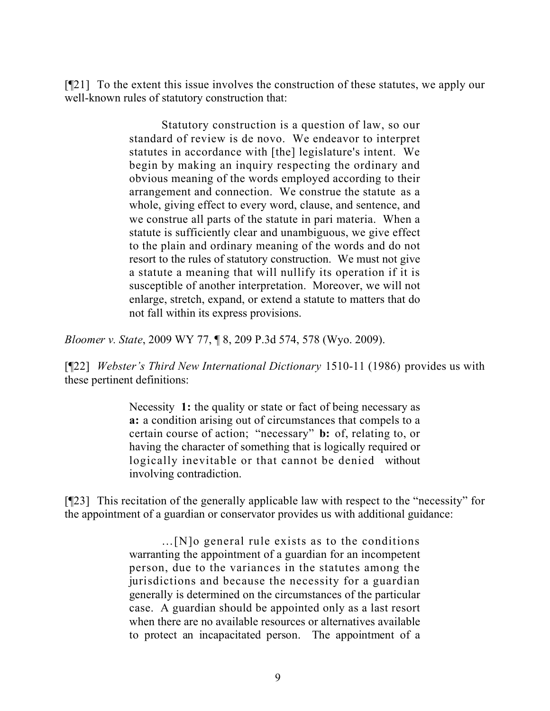[¶21] To the extent this issue involves the construction of these statutes, we apply our well-known rules of statutory construction that:

> Statutory construction is a question of law, so our standard of review is de novo. We endeavor to interpret statutes in accordance with [the] legislature's intent. We begin by making an inquiry respecting the ordinary and obvious meaning of the words employed according to their arrangement and connection. We construe the statute as a whole, giving effect to every word, clause, and sentence, and we construe all parts of the statute in pari materia. When a statute is sufficiently clear and unambiguous, we give effect to the plain and ordinary meaning of the words and do not resort to the rules of statutory construction. We must not give a statute a meaning that will nullify its operation if it is susceptible of another interpretation. Moreover, we will not enlarge, stretch, expand, or extend a statute to matters that do not fall within its express provisions.

*Bloomer v. State*, 2009 WY 77, ¶ 8, 209 P.3d 574, 578 (Wyo. 2009).

[¶22] *Webster's Third New International Dictionary* 1510-11 (1986) provides us with these pertinent definitions:

> Necessity 1: the quality or state or fact of being necessary as **a:** a condition arising out of circumstances that compels to a certain course of action; "necessary" **b:** of, relating to, or having the character of something that is logically required or logically inevitable or that cannot be denied without involving contradiction.

[¶23] This recitation of the generally applicable law with respect to the "necessity" for the appointment of a guardian or conservator provides us with additional guidance:

> …[N]o general rule exists as to the conditions warranting the appointment of a guardian for an incompetent person, due to the variances in the statutes among the jurisdictions and because the necessity for a guardian generally is determined on the circumstances of the particular case. A guardian should be appointed only as a last resort when there are no available resources or alternatives available to protect an incapacitated person. The appointment of a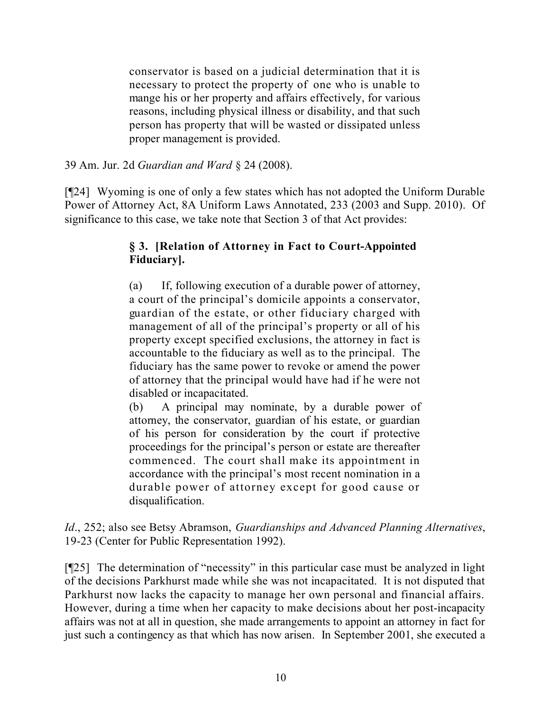conservator is based on a judicial determination that it is necessary to protect the property of one who is unable to mange his or her property and affairs effectively, for various reasons, including physical illness or disability, and that such person has property that will be wasted or dissipated unless proper management is provided.

39 Am. Jur. 2d *Guardian and Ward* § 24 (2008).

[¶24] Wyoming is one of only a few states which has not adopted the Uniform Durable Power of Attorney Act, 8A Uniform Laws Annotated, 233 (2003 and Supp. 2010). Of significance to this case, we take note that Section 3 of that Act provides:

# **§ 3. [Relation of Attorney in Fact to Court-Appointed Fiduciary].**

(a) If, following execution of a durable power of attorney, a court of the principal's domicile appoints a conservator, guardian of the estate, or other fiduciary charged with management of all of the principal's property or all of his property except specified exclusions, the attorney in fact is accountable to the fiduciary as well as to the principal. The fiduciary has the same power to revoke or amend the power of attorney that the principal would have had if he were not disabled or incapacitated.

(b) A principal may nominate, by a durable power of attorney, the conservator, guardian of his estate, or guardian of his person for consideration by the court if protective proceedings for the principal's person or estate are thereafter commenced. The court shall make its appointment in accordance with the principal's most recent nomination in a durable power of attorney except for good cause or disqualification.

*Id*., 252; also see Betsy Abramson, *Guardianships and Advanced Planning Alternatives*, 19-23 (Center for Public Representation 1992).

[¶25] The determination of "necessity" in this particular case must be analyzed in light of the decisions Parkhurst made while she was not incapacitated. It is not disputed that Parkhurst now lacks the capacity to manage her own personal and financial affairs. However, during a time when her capacity to make decisions about her post-incapacity affairs was not at all in question, she made arrangements to appoint an attorney in fact for just such a contingency as that which has now arisen. In September 2001, she executed a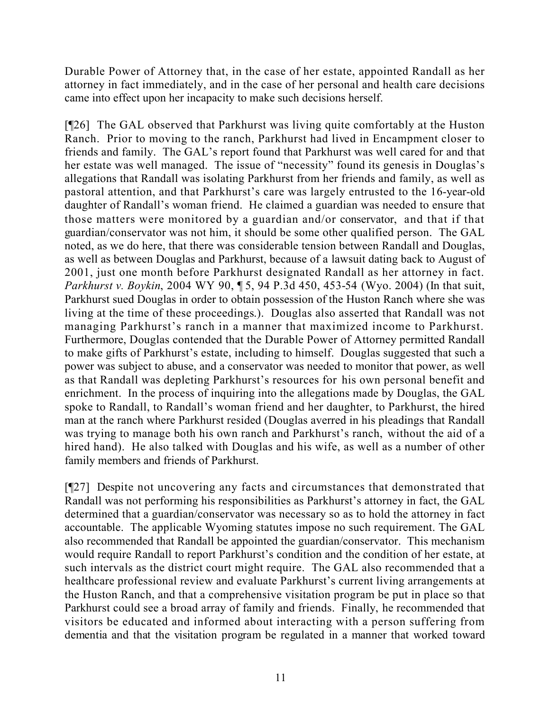Durable Power of Attorney that, in the case of her estate, appointed Randall as her attorney in fact immediately, and in the case of her personal and health care decisions came into effect upon her incapacity to make such decisions herself.

[¶26] The GAL observed that Parkhurst was living quite comfortably at the Huston Ranch. Prior to moving to the ranch, Parkhurst had lived in Encampment closer to friends and family. The GAL's report found that Parkhurst was well cared for and that her estate was well managed. The issue of "necessity" found its genesis in Douglas's allegations that Randall was isolating Parkhurst from her friends and family, as well as pastoral attention, and that Parkhurst's care was largely entrusted to the 16-year-old daughter of Randall's woman friend. He claimed a guardian was needed to ensure that those matters were monitored by a guardian and/or conservator, and that if that guardian/conservator was not him, it should be some other qualified person. The GAL noted, as we do here, that there was considerable tension between Randall and Douglas, as well as between Douglas and Parkhurst, because of a lawsuit dating back to August of 2001, just one month before Parkhurst designated Randall as her attorney in fact. *Parkhurst v. Boykin*, 2004 WY 90, ¶ 5, 94 P.3d 450, 453-54 (Wyo. 2004) (In that suit, Parkhurst sued Douglas in order to obtain possession of the Huston Ranch where she was living at the time of these proceedings.). Douglas also asserted that Randall was not managing Parkhurst's ranch in a manner that maximized income to Parkhurst. Furthermore, Douglas contended that the Durable Power of Attorney permitted Randall to make gifts of Parkhurst's estate, including to himself. Douglas suggested that such a power was subject to abuse, and a conservator was needed to monitor that power, as well as that Randall was depleting Parkhurst's resources for his own personal benefit and enrichment. In the process of inquiring into the allegations made by Douglas, the GAL spoke to Randall, to Randall's woman friend and her daughter, to Parkhurst, the hired man at the ranch where Parkhurst resided (Douglas averred in his pleadings that Randall was trying to manage both his own ranch and Parkhurst's ranch, without the aid of a hired hand). He also talked with Douglas and his wife, as well as a number of other family members and friends of Parkhurst.

[¶27] Despite not uncovering any facts and circumstances that demonstrated that Randall was not performing his responsibilities as Parkhurst's attorney in fact, the GAL determined that a guardian/conservator was necessary so as to hold the attorney in fact accountable. The applicable Wyoming statutes impose no such requirement. The GAL also recommended that Randall be appointed the guardian/conservator. This mechanism would require Randall to report Parkhurst's condition and the condition of her estate, at such intervals as the district court might require. The GAL also recommended that a healthcare professional review and evaluate Parkhurst's current living arrangements at the Huston Ranch, and that a comprehensive visitation program be put in place so that Parkhurst could see a broad array of family and friends. Finally, he recommended that visitors be educated and informed about interacting with a person suffering from dementia and that the visitation program be regulated in a manner that worked toward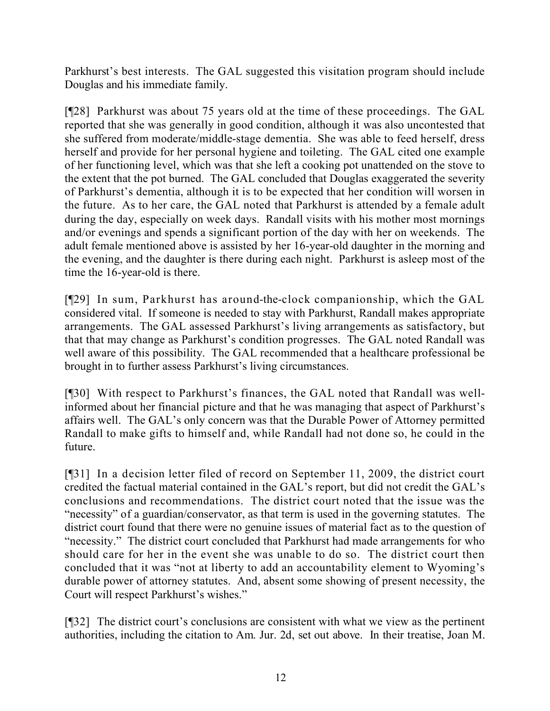Parkhurst's best interests. The GAL suggested this visitation program should include Douglas and his immediate family.

[¶28] Parkhurst was about 75 years old at the time of these proceedings. The GAL reported that she was generally in good condition, although it was also uncontested that she suffered from moderate/middle-stage dementia. She was able to feed herself, dress herself and provide for her personal hygiene and toileting. The GAL cited one example of her functioning level, which was that she left a cooking pot unattended on the stove to the extent that the pot burned. The GAL concluded that Douglas exaggerated the severity of Parkhurst's dementia, although it is to be expected that her condition will worsen in the future. As to her care, the GAL noted that Parkhurst is attended by a female adult during the day, especially on week days. Randall visits with his mother most mornings and/or evenings and spends a significant portion of the day with her on weekends. The adult female mentioned above is assisted by her 16-year-old daughter in the morning and the evening, and the daughter is there during each night. Parkhurst is asleep most of the time the 16-year-old is there.

[¶29] In sum, Parkhurst has around-the-clock companionship, which the GAL considered vital. If someone is needed to stay with Parkhurst, Randall makes appropriate arrangements. The GAL assessed Parkhurst's living arrangements as satisfactory, but that that may change as Parkhurst's condition progresses. The GAL noted Randall was well aware of this possibility. The GAL recommended that a healthcare professional be brought in to further assess Parkhurst's living circumstances.

[¶30] With respect to Parkhurst's finances, the GAL noted that Randall was wellinformed about her financial picture and that he was managing that aspect of Parkhurst's affairs well. The GAL's only concern was that the Durable Power of Attorney permitted Randall to make gifts to himself and, while Randall had not done so, he could in the future.

[¶31] In a decision letter filed of record on September 11, 2009, the district court credited the factual material contained in the GAL's report, but did not credit the GAL's conclusions and recommendations. The district court noted that the issue was the "necessity" of a guardian/conservator, as that term is used in the governing statutes. The district court found that there were no genuine issues of material fact as to the question of "necessity." The district court concluded that Parkhurst had made arrangements for who should care for her in the event she was unable to do so. The district court then concluded that it was "not at liberty to add an accountability element to Wyoming's durable power of attorney statutes. And, absent some showing of present necessity, the Court will respect Parkhurst's wishes."

[¶32] The district court's conclusions are consistent with what we view as the pertinent authorities, including the citation to Am. Jur. 2d, set out above. In their treatise, Joan M.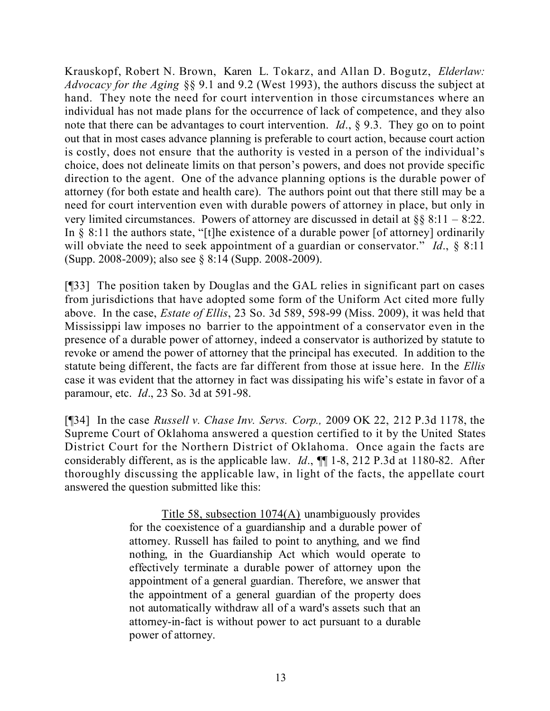Krauskopf, Robert N. Brown, Karen L. Tokarz, and Allan D. Bogutz, *Elderlaw: Advocacy for the Aging* §§ 9.1 and 9.2 (West 1993), the authors discuss the subject at hand. They note the need for court intervention in those circumstances where an individual has not made plans for the occurrence of lack of competence, and they also note that there can be advantages to court intervention. *Id*., § 9.3. They go on to point out that in most cases advance planning is preferable to court action, because court action is costly, does not ensure that the authority is vested in a person of the individual's choice, does not delineate limits on that person's powers, and does not provide specific direction to the agent. One of the advance planning options is the durable power of attorney (for both estate and health care). The authors point out that there still may be a need for court intervention even with durable powers of attorney in place, but only in very limited circumstances. Powers of attorney are discussed in detail at  $\S$ § 8:11 – 8:22. In  $\S$  8:11 the authors state, "[t]he existence of a durable power [of attorney] ordinarily will obviate the need to seek appointment of a guardian or conservator." *Id*., § 8:11 (Supp. 2008-2009); also see § 8:14 (Supp. 2008-2009).

[¶33] The position taken by Douglas and the GAL relies in significant part on cases from jurisdictions that have adopted some form of the Uniform Act cited more fully above. In the case, *Estate of Ellis*, 23 So. 3d 589, 598-99 (Miss. 2009), it was held that Mississippi law imposes no barrier to the appointment of a conservator even in the presence of a durable power of attorney, indeed a conservator is authorized by statute to revoke or amend the power of attorney that the principal has executed. In addition to the statute being different, the facts are far different from those at issue here. In the *Ellis* case it was evident that the attorney in fact was dissipating his wife's estate in favor of a paramour, etc. *Id*., 23 So. 3d at 591-98.

[¶34] In the case *Russell v. Chase Inv. Servs. Corp.,* 2009 OK 22, 212 P.3d 1178, the Supreme Court of Oklahoma answered a question certified to it by the United States District Court for the Northern District of Oklahoma. Once again the facts are considerably different, as is the applicable law. *Id*., ¶¶ 1-8, 212 P.3d at 1180-82. After thoroughly discussing the applicable law, in light of the facts, the appellate court answered the question submitted like this:

> Title 58, subsection 1074(A) unambiguously provides for the coexistence of a guardianship and a durable power of attorney. Russell has failed to point to anything, and we find nothing, in the Guardianship Act which would operate to effectively terminate a durable power of attorney upon the appointment of a general guardian. Therefore, we answer that the appointment of a general guardian of the property does not automatically withdraw all of a ward's assets such that an attorney-in-fact is without power to act pursuant to a durable power of attorney.